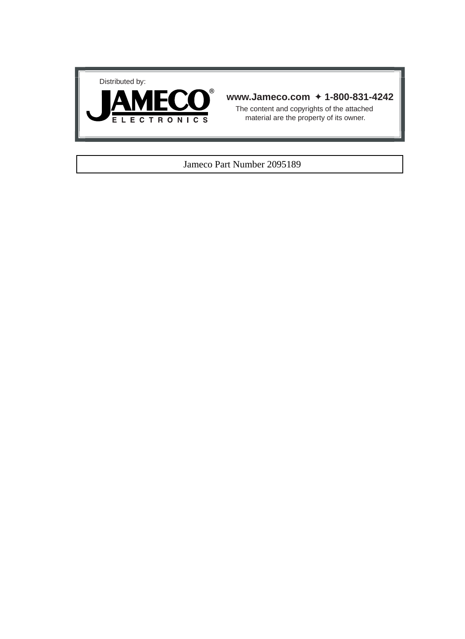



#### **www.Jameco.com** ✦ **1-800-831-4242**

The content and copyrights of the attached material are the property of its owner.

#### Jameco Part Number 2095189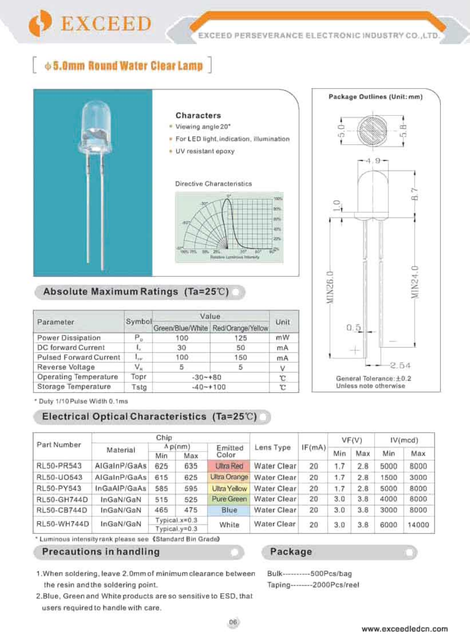

# $\lozenge$  5.0mm Round Water Clear Lamp



#### Characters

- · Viewing angle 20\*
- · For LED light, indication, illumination
- UV resistant epoxy

#### Directive Characteristics





### Absolute Maximum Ratings (Ta=25℃)

| Parameter              | Symbol       | Value        |                                    |      |
|------------------------|--------------|--------------|------------------------------------|------|
|                        |              |              | Green/Blue/White Red/Orange/Yellow | Unit |
| Power Dissipation      | Р,           | 100          | 125                                | mW   |
| DC forward Current     |              | 30           | 50                                 | mA   |
| Pulsed Forward Current | $L_{\rm HF}$ | 100          | 150                                | mA   |
| Reverse Voltage        | $V_{\rm R}$  | 5            | 5                                  |      |
| Operating Temperature  | Topr         | $-30+80$     | c                                  |      |
| Storage Temperature    | Tstg         | $-40 - +100$ | T.                                 |      |

\* Duty 1/10 Pulse Width 0.1ms

## Electrical Optical Characteristics (Ta=25°C)

| Part Number | Chip         |                              |                |                     |             | VF(V)  |     | IV(mcd) |       |      |
|-------------|--------------|------------------------------|----------------|---------------------|-------------|--------|-----|---------|-------|------|
|             | Material     | Ap(nm)                       |                | Emitted             | Lens Type   | IF(mA) |     |         |       |      |
|             |              | Min                          | Max            | Color               |             |        | Min | Max     | Min   | Max  |
| RL50-PR543  | AIGaInP/GaAs | 625                          | 635            | <b>Ultra Red</b>    | Water Clear | 20     | 1.7 | 2.8     | 5000  | 8000 |
| RL50-UO543  | AlGaInP/GaAs | 615                          | 625            | Ultra Orange        | Water Clear | 20     | 1.7 | 2.8     | 1500  | 3000 |
| RL50-PY543  | InGaAlP/GaAs | 585                          | 595            | <b>Ultra Yellow</b> | Water Clear | 20     | 1.7 | 2.8     | 5000  | 8000 |
| RL50-GH744D | InGaN/GaN    | 515                          | 525            | Pure Green          | Water Clear | 20     | 3.0 | 3.8     | 4000  | 8000 |
| RL50-CB744D | InGaN/GaN    | 465                          | 475            | Blue                | Water Clear | 20     | 3.0 | 3.8     | 3000  | 8000 |
| RL50-WH744D | InGaN/GaN    | $T$ ypical. $x=0.3$<br>White |                | Water Clear         | 20          | 3.0    | 3.8 | 6000    | 14000 |      |
|             |              |                              | $ypical.y=0.3$ |                     |             |        |     |         |       |      |

\* Luminous intensity rank please see (Standard Bin Grade)

### Precautions in handling

### Package

- 1. When soldering, leave 2.0mm of minimum clearance between the resin and the soldering point.
- 2. Blue, Green and White products are so sensitive to ESD, that users required to handle with care.

Bulk------------ 500Pcs/bag Taping--------2000Pcs/reel